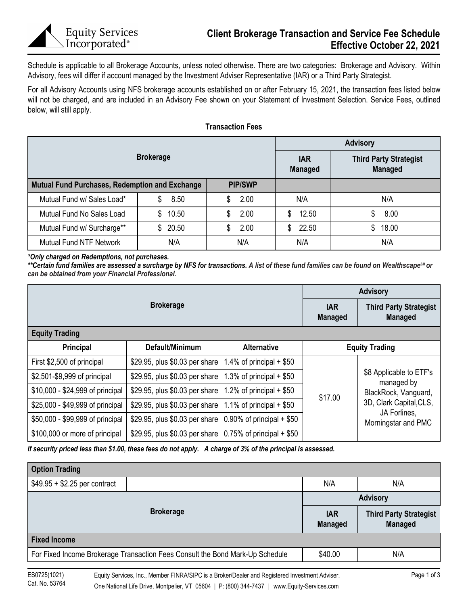Schedule is applicable to all Brokerage Accounts, unless noted otherwise. There are two categories: Brokerage and Advisory. Within Advisory, fees will differ if account managed by the Investment Adviser Representative (IAR) or a Third Party Strategist.

For all Advisory Accounts using NFS brokerage accounts established on or after February 15, 2021, the transaction fees listed below will not be charged, and are included in an Advisory Fee shown on your Statement of Investment Selection. Service Fees, outlined below, will still apply.

|                                                       |             | <b>Advisory</b> |                              |                                                 |  |
|-------------------------------------------------------|-------------|-----------------|------------------------------|-------------------------------------------------|--|
| <b>Brokerage</b>                                      |             |                 | <b>IAR</b><br><b>Managed</b> | <b>Third Party Strategist</b><br><b>Managed</b> |  |
| <b>Mutual Fund Purchases, Redemption and Exchange</b> |             | <b>PIP/SWP</b>  |                              |                                                 |  |
| Mutual Fund w/ Sales Load*                            | 8.50        | 2.00<br>S       | N/A                          | N/A                                             |  |
| Mutual Fund No Sales Load                             | 10.50<br>\$ | 2.00<br>S       | 12.50<br>S                   | 8.00                                            |  |
| Mutual Fund w/ Surcharge**                            | \$20.50     | 2.00            | 22.50<br>S.                  | \$18.00                                         |  |
| <b>Mutual Fund NTF Network</b>                        | N/A         | N/A             | N/A                          | N/A                                             |  |

*\*Only charged on Redemptions, not purchases.* 

\*\*Certain fund families are assessed a surcharge by NFS for transactions. A list of these fund families can be found on Wealthscape<sup>sM</sup> or *can be obtained from your Financial Professional.*

|                                  | <b>Advisory</b>                |                                                 |         |                                                               |  |  |
|----------------------------------|--------------------------------|-------------------------------------------------|---------|---------------------------------------------------------------|--|--|
|                                  | <b>IAR</b><br><b>Managed</b>   | <b>Third Party Strategist</b><br><b>Managed</b> |         |                                                               |  |  |
| <b>Equity Trading</b>            |                                |                                                 |         |                                                               |  |  |
| Principal                        | Default/Minimum                | <b>Alternative</b>                              |         | <b>Equity Trading</b>                                         |  |  |
| First \$2,500 of principal       | \$29.95, plus \$0.03 per share | 1.4% of principal $+$ \$50                      |         |                                                               |  |  |
| \$2,501-\$9,999 of principal     | \$29.95, plus \$0.03 per share | 1.3% of principal $+$ \$50                      |         | \$8 Applicable to ETF's<br>managed by<br>BlackRock, Vanguard, |  |  |
| \$10,000 - \$24,999 of principal | \$29.95, plus \$0.03 per share | 1.2% of principal $+$ \$50                      | \$17.00 |                                                               |  |  |
| \$25,000 - \$49,999 of principal | \$29.95, plus \$0.03 per share | 1.1% of principal $+$ \$50                      |         | 3D, Clark Capital, CLS,                                       |  |  |
| \$50,000 - \$99,999 of principal | \$29.95, plus \$0.03 per share | $0.90\%$ of principal + \$50                    |         | JA Forlines,<br>Morningstar and PMC                           |  |  |
| \$100,000 or more of principal   | \$29.95, plus \$0.03 per share | $0.75\%$ of principal + \$50                    |         |                                                               |  |  |

*If security priced less than \$1.00, these fees do not apply. A charge of 3% of the principal is assessed.*

| <b>Option Trading</b>                                                         |  |  |                              |                                                 |  |  |  |
|-------------------------------------------------------------------------------|--|--|------------------------------|-------------------------------------------------|--|--|--|
| $$49.95 + $2.25$ per contract                                                 |  |  | N/A                          | N/A                                             |  |  |  |
|                                                                               |  |  | <b>Advisory</b>              |                                                 |  |  |  |
| <b>Brokerage</b>                                                              |  |  | <b>IAR</b><br><b>Managed</b> | <b>Third Party Strategist</b><br><b>Managed</b> |  |  |  |
| <b>Fixed Income</b>                                                           |  |  |                              |                                                 |  |  |  |
| For Fixed Income Brokerage Transaction Fees Consult the Bond Mark-Up Schedule |  |  | \$40.00<br>N/A               |                                                 |  |  |  |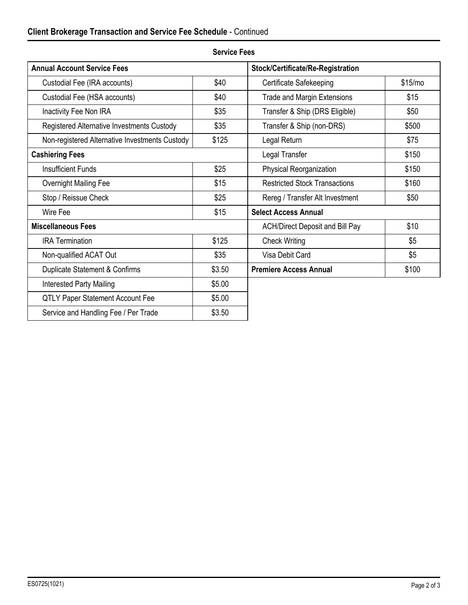| <b>Annual Account Service Fees</b>             | Stock/Certificate/Re-Registration      |                                      |         |  |
|------------------------------------------------|----------------------------------------|--------------------------------------|---------|--|
| Custodial Fee (IRA accounts)                   | \$40                                   | Certificate Safekeeping              | \$15/mo |  |
| Custodial Fee (HSA accounts)                   | \$40                                   | <b>Trade and Margin Extensions</b>   | \$15    |  |
| Inactivity Fee Non IRA                         | \$35                                   | Transfer & Ship (DRS Eligible)       | \$50    |  |
| Registered Alternative Investments Custody     | \$35                                   | Transfer & Ship (non-DRS)            | \$500   |  |
| Non-registered Alternative Investments Custody | \$125                                  | Legal Return                         | \$75    |  |
| <b>Cashiering Fees</b>                         | Legal Transfer                         | \$150                                |         |  |
| <b>Insufficient Funds</b>                      | \$25                                   | Physical Reorganization              | \$150   |  |
| Overnight Mailing Fee                          | \$15                                   | <b>Restricted Stock Transactions</b> | \$160   |  |
| Stop / Reissue Check                           | \$25                                   | Rereg / Transfer Alt Investment      | \$50    |  |
| Wire Fee                                       | \$15                                   | <b>Select Access Annual</b>          |         |  |
| <b>Miscellaneous Fees</b>                      | <b>ACH/Direct Deposit and Bill Pay</b> | \$10                                 |         |  |
| <b>IRA Termination</b>                         | \$125                                  | <b>Check Writing</b>                 | \$5     |  |
| Non-qualified ACAT Out                         | \$35                                   | Visa Debit Card                      | \$5     |  |
| Duplicate Statement & Confirms                 | \$3.50                                 | <b>Premiere Access Annual</b>        | \$100   |  |
| <b>Interested Party Mailing</b>                | \$5.00                                 |                                      |         |  |
| <b>QTLY Paper Statement Account Fee</b>        | \$5.00                                 |                                      |         |  |
| Service and Handling Fee / Per Trade           | \$3.50                                 |                                      |         |  |
|                                                |                                        |                                      |         |  |

## **Service Fees**